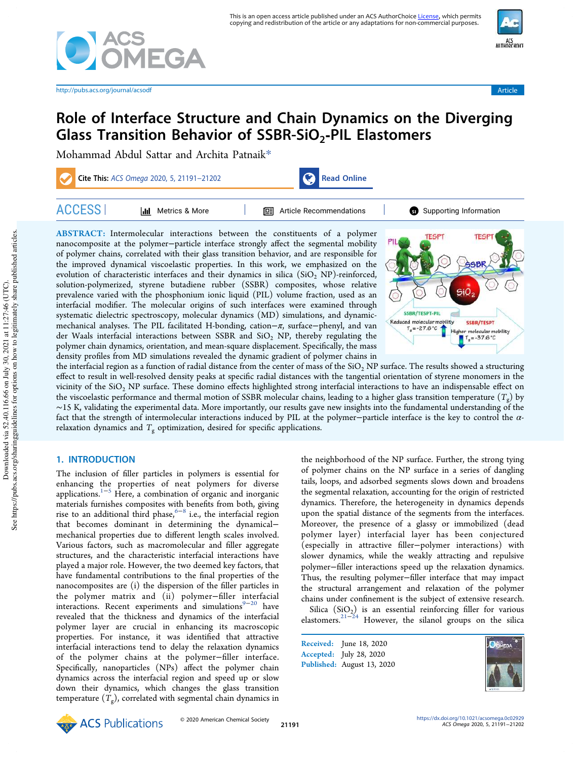

http://pubs.acs.org/journal/acsodf Article

# Role of Interface Structure and Chain Dynamics on the Diverging Glass Transition Behavior of SSBR-SiO<sub>2</sub>-PIL Elastomers

Mohammad Abdul Sattar and Archita Patnaik\*

| Cite This: ACS Omega 2020, 5, 21191-21202 |                       |  | Read Online                      |                        |
|-------------------------------------------|-----------------------|--|----------------------------------|------------------------|
| <b>ACCESS</b>                             | Metrics & More<br>hII |  | <b>I</b> Article Recommendations | Supporting Information |

ABSTRACT: Intermolecular interactions between the constituents of a polymer nanocomposite at the polymer−particle interface strongly affect the segmental mobility of polymer chains, correlated with their glass transition behavior, and are responsible for the improved dynamical viscoelastic properties. In this work, we emphasized on the evolution of characteristic interfaces and their dynamics in silica  $(SiO<sub>2</sub> NP)$ -reinforced, solution-polymerized, styrene butadiene rubber (SSBR) composites, whose relative prevalence varied with the phosphonium ionic liquid (PIL) volume fraction, used as an interfacial modifier. The molecular origins of such interfaces were examined through systematic dielectric spectroscopy, molecular dynamics (MD) simulations, and dynamicmechanical analyses. The PIL facilitated H-bonding, cation−π, surface−phenyl, and van der Waals interfacial interactions between SSBR and  $SiO<sub>2</sub>$  NP, thereby regulating the polymer chain dynamics, orientation, and mean-square displacement. Specifically, the mass density profiles from MD simulations revealed the dynamic gradient of polymer chains in



the interfacial region as a function of radial distance from the center of mass of the  $SiO<sub>2</sub> NP$  surface. The results showed a structuring effect to result in well-resolved density peaks at specific radial distances with the tangential orientation of styrene monomers in the vicinity of the SiO<sub>2</sub> NP surface. These domino effects highlighted strong interfacial interactions to have an indispensable effect on the viscoelastic performance and thermal motion of SSBR molecular chains, leading to a higher glass transition temperature  $(T<sub>g</sub>)$  by ∼15 K, validating the experimental data. More importantly, our results gave new insights into the fundamental understanding of the fact that the strength of intermolecular interactions induced by PIL at the polymer−particle interface is the key to control the αrelaxation dynamics and  $T_g$  optimization, desired for specific applications.

# 1. INTRODUCTION

The inclusion of filler particles in polymers is essential for enhancing the properties of neat polymers for diverse applications.1−<sup>5</sup> Here, a combination of organic and inorganic materials furnishes composites with benefits from both, giving rise to an additional third phase,<sup> $6-8$ </sup> i.e., the interfacial region that becomes dominant in determining the dynamical− mechanical properties due to different length scales involved. Various factors, such as macromolecular and filler aggregate structures, and the characteristic interfacial interactions have played a major role. However, the two deemed key factors, that have fundamental contributions to the final properties of the nanocomposites are (i) the dispersion of the filler particles in the polymer matrix and (ii) polymer−filler interfacial interactions. Recent experiments and simulations $9-20$  have revealed that the thickness and dynamics of the interfacial polymer layer are crucial in enhancing its macroscopic properties. For instance, it was identified that attractive interfacial interactions tend to delay the relaxation dynamics of the polymer chains at the polymer−filler interface. Specifically, nanoparticles (NPs) affect the polymer chain dynamics across the interfacial region and speed up or slow down their dynamics, which changes the glass transition temperature (*T*<sup>g</sup> ), correlated with segmental chain dynamics in

the neighborhood of the NP surface. Further, the strong tying of polymer chains on the NP surface in a series of dangling tails, loops, and adsorbed segments slows down and broadens the segmental relaxation, accounting for the origin of restricted dynamics. Therefore, the heterogeneity in dynamics depends upon the spatial distance of the segments from the interfaces. Moreover, the presence of a glassy or immobilized (dead polymer layer) interfacial layer has been conjectured (especially in attractive filler−polymer interactions) with slower dynamics, while the weakly attracting and repulsive polymer−filler interactions speed up the relaxation dynamics. Thus, the resulting polymer−filler interface that may impact the structural arrangement and relaxation of the polymer chains under confinement is the subject of extensive research.

Silica  $(SiO<sub>2</sub>)$  is an essential reinforcing filler for various elastomers.<sup>21–24</sup> However, the silanol groups on the silica

Received: June 18, 2020 Accepted: July 28, 2020 Published: August 13, 2020



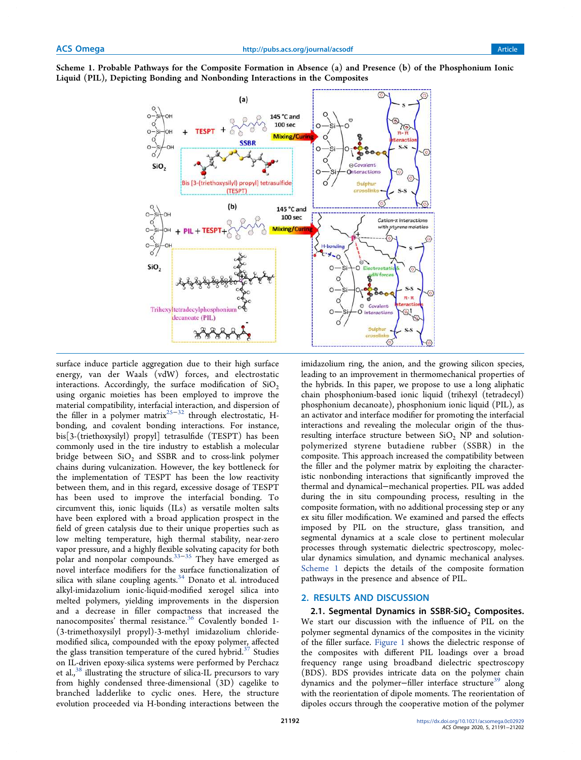Scheme 1. Probable Pathways for the Composite Formation in Absence (a) and Presence (b) of the Phosphonium Ionic Liquid (PIL), Depicting Bonding and Nonbonding Interactions in the Composites



surface induce particle aggregation due to their high surface energy, van der Waals (vdW) forces, and electrostatic interactions. Accordingly, the surface modification of  $SiO<sub>2</sub>$ using organic moieties has been employed to improve the material compatibility, interfacial interaction, and dispersion of the filler in a polymer matrix<sup>25–32</sup> through electrostatic, Hbonding, and covalent bonding interactions. For instance, bis[3-(triethoxysilyl) propyl] tetrasulfide (TESPT) has been commonly used in the tire industry to establish a molecular bridge between  $SiO<sub>2</sub>$  and SSBR and to cross-link polymer chains during vulcanization. However, the key bottleneck for the implementation of TESPT has been the low reactivity between them, and in this regard, excessive dosage of TESPT has been used to improve the interfacial bonding. To circumvent this, ionic liquids (ILs) as versatile molten salts have been explored with a broad application prospect in the field of green catalysis due to their unique properties such as low melting temperature, high thermal stability, near-zero vapor pressure, and a highly flexible solvating capacity for both polar and nonpolar compounds.33−<sup>35</sup> They have emerged as novel interface modifiers for the surface functionalization of silica with silane coupling agents. $34$  Donato et al. introduced alkyl-imidazolium ionic-liquid-modified xerogel silica into melted polymers, yielding improvements in the dispersion and a decrease in filler compactness that increased the nanocomposites' thermal resistance.<sup>36</sup> Covalently bonded 1-(3-trimethoxysilyl propyl)-3-methyl imidazolium chloridemodified silica, compounded with the epoxy polymer, affected the glass transition temperature of the cured hybrid.<sup>37</sup> Studies on IL-driven epoxy-silica systems were performed by Perchacz et al.,<sup>38</sup> illustrating the structure of silica-IL precursors to vary from highly condensed three-dimensional (3D) cagelike to branched ladderlike to cyclic ones. Here, the structure evolution proceeded via H-bonding interactions between the

imidazolium ring, the anion, and the growing silicon species, leading to an improvement in thermomechanical properties of the hybrids. In this paper, we propose to use a long aliphatic chain phosphonium-based ionic liquid (trihexyl (tetradecyl) phosphonium decanoate), phosphonium ionic liquid (PIL), as an activator and interface modifier for promoting the interfacial interactions and revealing the molecular origin of the thusresulting interface structure between  $SiO<sub>2</sub>$  NP and solutionpolymerized styrene butadiene rubber (SSBR) in the composite. This approach increased the compatibility between the filler and the polymer matrix by exploiting the characteristic nonbonding interactions that significantly improved the thermal and dynamical−mechanical properties. PIL was added during the in situ compounding process, resulting in the composite formation, with no additional processing step or any ex situ filler modification. We examined and parsed the effects imposed by PIL on the structure, glass transition, and segmental dynamics at a scale close to pertinent molecular processes through systematic dielectric spectroscopy, molecular dynamics simulation, and dynamic mechanical analyses. Scheme 1 depicts the details of the composite formation pathways in the presence and absence of PIL.

## 2. RESULTS AND DISCUSSION

2.1. Segmental Dynamics in SSBR-SiO<sub>2</sub> Composites. We start our discussion with the influence of PIL on the polymer segmental dynamics of the composites in the vicinity of the filler surface. Figure 1 shows the dielectric response of the composites with different PIL loadings over a broad frequency range using broadband dielectric spectroscopy (BDS). BDS provides intricate data on the polymer chain dynamics and the polymer-filler interface structure<sup>39</sup> along with the reorientation of dipole moments. The reorientation of dipoles occurs through the cooperative motion of the polymer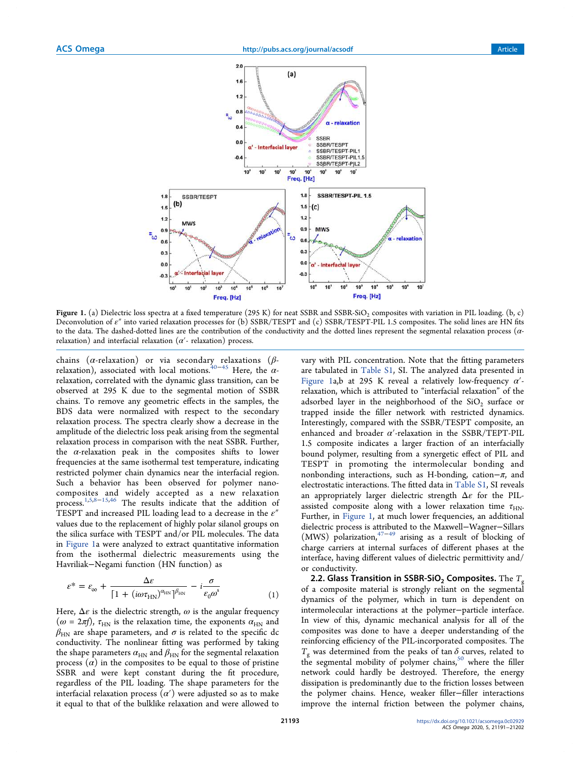

Figure 1. (a) Dielectric loss spectra at a fixed temperature (295 K) for neat SSBR and SSBR-SiO<sub>2</sub> composites with variation in PIL loading. (b, c) Deconvolution of ε″ into varied relaxation processes for (b) SSBR/TESPT and (c) SSBR/TESPT-PIL 1.5 composites. The solid lines are HN fits to the data. The dashed-dotted lines are the contribution of the conductivity and the dotted lines represent the segmental relaxation process ( $\alpha$ relaxation) and interfacial relaxation ( $\alpha'$ - relaxation) process.

chains (α-relaxation) or via secondary relaxations (β-<br>relaxation), associated with local motions.<sup>40–45</sup> Here, the αrelaxation, correlated with the dynamic glass transition, can be observed at 295 K due to the segmental motion of SSBR chains. To remove any geometric effects in the samples, the BDS data were normalized with respect to the secondary relaxation process. The spectra clearly show a decrease in the amplitude of the dielectric loss peak arising from the segmental relaxation process in comparison with the neat SSBR. Further, the  $\alpha$ -relaxation peak in the composites shifts to lower frequencies at the same isothermal test temperature, indicating restricted polymer chain dynamics near the interfacial region. Such a behavior has been observed for polymer nanocomposites and widely accepted as a new relaxation process.<sup>1,5,8–15,46</sup> The results indicate that the addition of TESPT and increased PIL loading lead to a decrease in the  $\varepsilon''$ values due to the replacement of highly polar silanol groups on the silica surface with TESPT and/or PIL molecules. The data in Figure 1a were analyzed to extract quantitative information from the isothermal dielectric measurements using the Havriliak−Negami function (HN function) as

$$
\varepsilon^* = \varepsilon_{\infty} + \frac{\Delta \varepsilon}{\left[1 + \left(i\omega \tau_{\text{HN}}\right)^{\alpha_{\text{HN}}}\right]^{\beta_{\text{HN}}}} - i\frac{\sigma}{\varepsilon_0 \omega^s}
$$
(1)

Here,  $\Delta \varepsilon$  is the dielectric strength,  $\omega$  is the angular frequency  $(\omega = 2\pi f)$ ,  $\tau_{HN}$  is the relaxation time, the exponents  $\alpha_{HN}$  and  $\beta_{\rm HN}$  are shape parameters, and  $\sigma$  is related to the specific dc conductivity. The nonlinear fitting was performed by taking the shape parameters  $\alpha_{HN}$  and  $\beta_{HN}$  for the segmental relaxation process  $(a)$  in the composites to be equal to those of pristine SSBR and were kept constant during the fit procedure, regardless of the PIL loading. The shape parameters for the interfacial relaxation process  $(\alpha')$  were adjusted so as to make it equal to that of the bulklike relaxation and were allowed to

vary with PIL concentration. Note that the fitting parameters are tabulated in Table S1, SI. The analyzed data presented in Figure 1a,b at 295 K reveal a relatively low-frequency  $\alpha'$ relaxation, which is attributed to "interfacial relaxation" of the adsorbed layer in the neighborhood of the  $\rm SiO_2$  surface or trapped inside the filler network with restricted dynamics. Interestingly, compared with the SSBR/TESPT composite, an enhanced and broader  $\alpha'$ -relaxation in the SSBR/TEPT-PIL 1.5 composite indicates a larger fraction of an interfacially bound polymer, resulting from a synergetic effect of PIL and TESPT in promoting the intermolecular bonding and nonbonding interactions, such as H-bonding, cation $-\pi$ , and electrostatic interactions. The fitted data in Table S1, SI reveals an appropriately larger dielectric strength  $\Delta \varepsilon$  for the PILassisted composite along with a lower relaxation time  $\tau_{HN}$ . Further, in Figure 1, at much lower frequencies, an additional dielectric process is attributed to the Maxwell−Wagner−Sillars (MWS) polarization,  $47-49$  arising as a result of blocking of charge carriers at internal surfaces of different phases at the interface, having different values of dielectric permittivity and/ or conductivity.

**2.2. Glass Transition in SSBR-SiO<sub>2</sub> Composites.** The *T*<sub>g</sub> of a composite material is strongly reliant on the segmental dynamics of the polymer, which in turn is dependent on intermolecular interactions at the polymer−particle interface. In view of this, dynamic mechanical analysis for all of the composites was done to have a deeper understanding of the reinforcing efficiency of the PIL-incorporated composites. The  $T_g$  was determined from the peaks of tan  $\delta$  curves, related to the segmental mobility of polymer chains,<sup>50</sup> where the filler network could hardly be destroyed. Therefore, the energy dissipation is predominantly due to the friction losses between the polymer chains. Hence, weaker filler−filler interactions improve the internal friction between the polymer chains,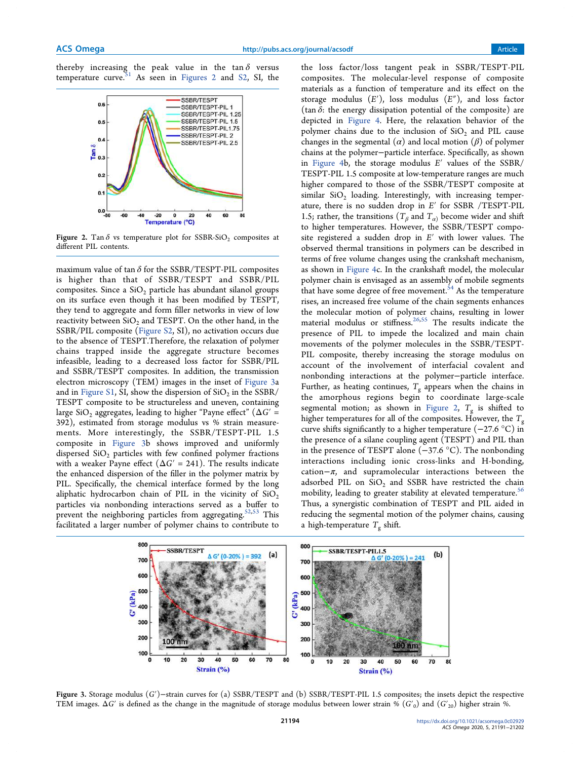thereby increasing the peak value in the  $\tan \delta$  versus temperature curve.<sup>51</sup> As seen in Figures 2 and S2, SI, the As seen in Figures 2 and S2, SI, the



Figure 2. Tan  $\delta$  vs temperature plot for SSBR-SiO<sub>2</sub> composites at different PIL contents.

maximum value of tan  $\delta$  for the SSBR/TESPT-PIL composites is higher than that of SSBR/TESPT and SSBR/PIL composites. Since a  $SiO<sub>2</sub>$  particle has abundant silanol groups on its surface even though it has been modified by TESPT, they tend to aggregate and form filler networks in view of low reactivity between  $SiO<sub>2</sub>$  and TESPT. On the other hand, in the SSBR/PIL composite (Figure S2, SI), no activation occurs due to the absence of TESPT.Therefore, the relaxation of polymer chains trapped inside the aggregate structure becomes infeasible, leading to a decreased loss factor for SSBR/PIL and SSBR/TESPT composites. In addition, the transmission electron microscopy (TEM) images in the inset of Figure 3a and in Figure S1, SI, show the dispersion of  $\rm SiO_2$  in the SSBR/ TESPT composite to be structureless and uneven, containing large SiO<sub>2</sub> aggregates, leading to higher "Payne effect" ( $\Delta G$ ' = 392), estimated from storage modulus vs % strain measurements. More interestingly, the SSBR/TESPT-PIL 1.5 composite in Figure 3b shows improved and uniformly dispersed SiO<sub>2</sub> particles with few confined polymer fractions with a weaker Payne effect  $(\Delta G' = 241)$ . The results indicate the enhanced dispersion of the filler in the polymer matrix by PIL. Specifically, the chemical interface formed by the long aliphatic hydrocarbon chain of PIL in the vicinity of  $SiO<sub>2</sub>$ particles via nonbonding interactions served as a buffer to prevent the neighboring particles from aggregating.<sup>52,53</sup> This facilitated a larger number of polymer chains to contribute to

the loss factor/loss tangent peak in SSBR/TESPT-PIL composites. The molecular-level response of composite materials as a function of temperature and its effect on the storage modulus (*E*′), loss modulus (*E*″), and loss factor (tan  $\delta$ : the energy dissipation potential of the composite) are depicted in Figure 4. Here, the relaxation behavior of the polymer chains due to the inclusion of  $SiO<sub>2</sub>$  and PIL cause changes in the segmental  $(\alpha)$  and local motion  $(\beta)$  of polymer chains at the polymer−particle interface. Specifically, as shown in Figure 4b, the storage modulus *E*′ values of the SSBR/ TESPT-PIL 1.5 composite at low-temperature ranges are much higher compared to those of the SSBR/TESPT composite at similar  $SiO<sub>2</sub>$  loading. Interestingly, with increasing temperature, there is no sudden drop in *E*′ for SSBR /TESPT-PIL 1.5; rather, the transitions ( $T_\beta$  and  $T_\alpha$ ) become wider and shift to higher temperatures. However, the SSBR/TESPT composite registered a sudden drop in *E*′ with lower values. The observed thermal transitions in polymers can be described in terms of free volume changes using the crankshaft mechanism, as shown in Figure 4c. In the crankshaft model, the molecular polymer chain is envisaged as an assembly of mobile segments that have some degree of free movement.<sup>54</sup> As the temperature rises, an increased free volume of the chain segments enhances the molecular motion of polymer chains, resulting in lower material modulus or stiffness. 26,55 The results indicate the presence of PIL to impede the localized and main chain movements of the polymer molecules in the SSBR/TESPT-PIL composite, thereby increasing the storage modulus on account of the involvement of interfacial covalent and nonbonding interactions at the polymer−particle interface. Further, as heating continues,  $T_{\text{g}}$  appears when the chains in the amorphous regions begin to coordinate large-scale segmental motion; as shown in Figure 2,  $T_{\text{g}}$  is shifted to higher temperatures for all of the composites. However, the  $T_g$ curve shifts significantly to a higher temperature (−27.6 °C) in the presence of a silane coupling agent (TESPT) and PIL than in the presence of TESPT alone (−37.6 °C). The nonbonding interactions including ionic cross-links and H-bonding, cation−π, and supramolecular interactions between the adsorbed PIL on  $SiO_2$  and SSBR have restricted the chain mobility, leading to greater stability at elevated temperature.<sup>56</sup> Thus, a synergistic combination of TESPT and PIL aided in reducing the segmental motion of the polymer chains, causing a high-temperature  $T_{\mathrm{g}}$  shift.



Figure 3. Storage modulus (*G*′)−strain curves for (a) SSBR/TESPT and (b) SSBR/TESPT-PIL 1.5 composites; the insets depict the respective TEM images.  $\Delta G'$  is defined as the change in the magnitude of storage modulus between lower strain % ( $G'_{0}$ ) and ( $G'_{20}$ ) higher strain %.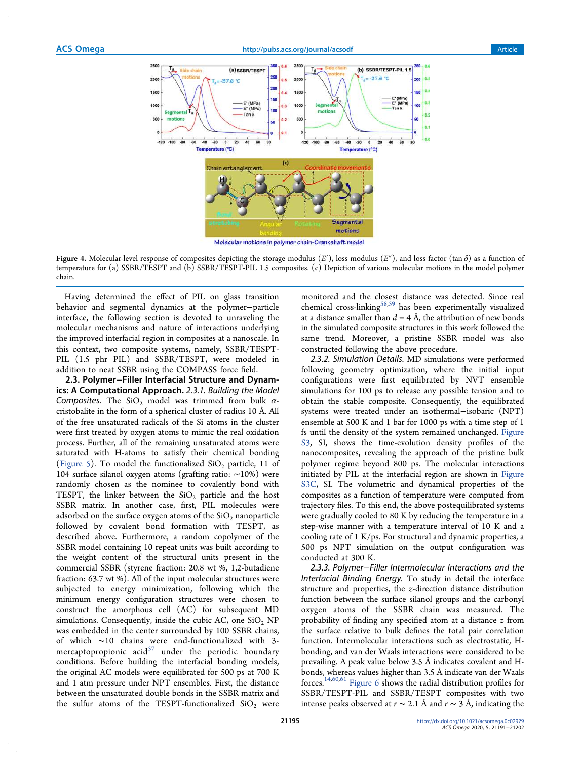

Figure 4. Molecular-level response of composites depicting the storage modulus  $(E')$ , loss modulus  $(E'')$ , and loss factor (tan  $\delta$ ) as a function of temperature for (a) SSBR/TESPT and (b) SSBR/TESPT-PIL 1.5 composites. (c) Depiction of various molecular motions in the model polymer chain.

Having determined the effect of PIL on glass transition behavior and segmental dynamics at the polymer−particle interface, the following section is devoted to unraveling the molecular mechanisms and nature of interactions underlying the improved interfacial region in composites at a nanoscale. In this context, two composite systems, namely, SSBR/TESPT-PIL (1.5 phr PIL) and SSBR/TESPT, were modeled in addition to neat SSBR using the COMPASS force field.

2.3. Polymer−Filler Interfacial Structure and Dynamics: A Computational Approach. 2.3.1. Building the Model Composites. The SiO<sub>2</sub> model was trimmed from bulk  $\alpha$ cristobalite in the form of a spherical cluster of radius 10 Å. All of the free unsaturated radicals of the Si atoms in the cluster were first treated by oxygen atoms to mimic the real oxidation process. Further, all of the remaining unsaturated atoms were saturated with H-atoms to satisfy their chemical bonding (Figure 5). To model the functionalized  $SiO<sub>2</sub>$  particle, 11 of 104 surface silanol oxygen atoms (grafting ratio: ∼10%) were randomly chosen as the nominee to covalently bond with TESPT, the linker between the  $SiO<sub>2</sub>$  particle and the host SSBR matrix. In another case, first, PIL molecules were adsorbed on the surface oxygen atoms of the  $SiO<sub>2</sub>$  nanoparticle followed by covalent bond formation with TESPT, as described above. Furthermore, a random copolymer of the SSBR model containing 10 repeat units was built according to the weight content of the structural units present in the commercial SSBR (styrene fraction: 20.8 wt %, 1,2-butadiene fraction: 63.7 wt %). All of the input molecular structures were subjected to energy minimization, following which the minimum energy configuration structures were chosen to construct the amorphous cell (AC) for subsequent MD simulations. Consequently, inside the cubic AC, one  $SiO<sub>2</sub>$  NP was embedded in the center surrounded by 100 SSBR chains, of which ∼10 chains were end-functionalized with 3 mercaptopropionic acid $57$  under the periodic boundary conditions. Before building the interfacial bonding models, the original AC models were equilibrated for 500 ps at 700 K and 1 atm pressure under NPT ensembles. First, the distance between the unsaturated double bonds in the SSBR matrix and the sulfur atoms of the TESPT-functionalized  $SiO<sub>2</sub>$  were

monitored and the closest distance was detected. Since real chemical cross-linking<sup>58,59</sup> has been experimentally visualized at a distance smaller than  $d = 4$  Å, the attribution of new bonds in the simulated composite structures in this work followed the same trend. Moreover, a pristine SSBR model was also constructed following the above procedure.

2.3.2. Simulation Details. MD simulations were performed following geometry optimization, where the initial input configurations were first equilibrated by NVT ensemble simulations for 100 ps to release any possible tension and to obtain the stable composite. Consequently, the equilibrated systems were treated under an isothermal−isobaric (NPT) ensemble at 500 K and 1 bar for 1000 ps with a time step of 1 fs until the density of the system remained unchanged. Figure S3, SI, shows the time-evolution density profiles of the nanocomposites, revealing the approach of the pristine bulk polymer regime beyond 800 ps. The molecular interactions initiated by PIL at the interfacial region are shown in Figure S3C, SI. The volumetric and dynamical properties of the composites as a function of temperature were computed from trajectory files. To this end, the above postequilibrated systems were gradually cooled to 80 K by reducing the temperature in a step-wise manner with a temperature interval of 10 K and a cooling rate of 1 K/ps. For structural and dynamic properties, a 500 ps NPT simulation on the output configuration was conducted at 300 K.

2.3.3. Polymer−Filler Intermolecular Interactions and the Interfacial Binding Energy. To study in detail the interface structure and properties, the *z*-direction distance distribution function between the surface silanol groups and the carbonyl oxygen atoms of the SSBR chain was measured. The probability of finding any specified atom at a distance *z* from the surface relative to bulk defines the total pair correlation function. Intermolecular interactions such as electrostatic, Hbonding, and van der Waals interactions were considered to be prevailing. A peak value below 3.5 Å indicates covalent and Hbonds, whereas values higher than 3.5 Å indicate van der Waals forces.14,60,61 Figure 6 shows the radial distribution profiles for SSBR/TESPT-PIL and SSBR/TESPT composites with two intense peaks observed at *r* ∼ 2.1 Å and *r* ∼ 3 Å, indicating the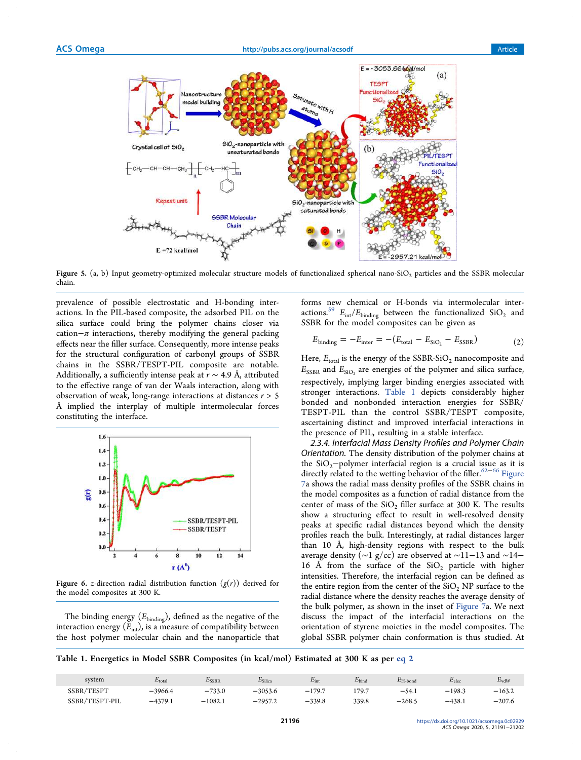

Figure 5.  $(a, b)$  Input geometry-optimized molecular structure models of functionalized spherical nano-SiO<sub>2</sub> particles and the SSBR molecular chain.

prevalence of possible electrostatic and H-bonding interactions. In the PIL-based composite, the adsorbed PIL on the silica surface could bring the polymer chains closer via cation $-\pi$  interactions, thereby modifying the general packing effects near the filler surface. Consequently, more intense peaks for the structural configuration of carbonyl groups of SSBR chains in the SSBR/TESPT-PIL composite are notable. Additionally, a sufficiently intense peak at *r* ∼ 4.9 Å, attributed to the effective range of van der Waals interaction, along with observation of weak, long-range interactions at distances *r* > 5 Å implied the interplay of multiple intermolecular forces constituting the interface.



Figure 6. *z*-direction radial distribution function  $(g(r))$  derived for the model composites at 300 K.

The binding energy ( $E_{\text{binding}}$ ), defined as the negative of the interaction energy  $(E_{int})$ , is a measure of compatibility between the host polymer molecular chain and the nanoparticle that forms new chemical or H-bonds via intermolecular interactions.<sup>59</sup>  $E_{\text{int}}/E_{\text{binding}}$  between the functionalized  $\text{SiO}_2$  and SSBR for the model composites can be given as

$$
E_{\text{binding}} = -E_{\text{inter}} = -(E_{\text{total}} - E_{\text{SiO}_2} - E_{\text{SSBR}})
$$
\n(2)

Here,  $E_{total}$  is the energy of the SSBR-SiO<sub>2</sub> nanocomposite and  $E_{\rm SSBR}$  and  $E_{\rm SiO_2}$  are energies of the polymer and silica surface, respectively, implying larger binding energies associated with stronger interactions. Table 1 depicts considerably higher bonded and nonbonded interaction energies for SSBR/ TESPT-PIL than the control SSBR/TESPT composite, ascertaining distinct and improved interfacial interactions in the presence of PIL, resulting in a stable interface.

2.3.4. Interfacial Mass Density Profiles and Polymer Chain Orientation. The density distribution of the polymer chains at the SiO<sub>2</sub> $-polymer$  interfacial region is a crucial issue as it is directly related to the wetting behavior of the filler.<sup>62−66</sup> Figure 7a shows the radial mass density profiles of the SSBR chains in the model composites as a function of radial distance from the center of mass of the  $SiO<sub>2</sub>$  filler surface at 300 K. The results show a structuring effect to result in well-resolved density peaks at specific radial distances beyond which the density profiles reach the bulk. Interestingly, at radial distances larger than 10 Å, high-density regions with respect to the bulk average density (∼1 g/cc) are observed at ∼11−13 and ∼14− 16 Å from the surface of the  $SiO<sub>2</sub>$  particle with higher intensities. Therefore, the interfacial region can be defined as the entire region from the center of the  $SiO<sub>2</sub>$  NP surface to the radial distance where the density reaches the average density of the bulk polymer, as shown in the inset of Figure 7a. We next discuss the impact of the interfacial interactions on the orientation of styrene moieties in the model composites. The global SSBR polymer chain conformation is thus studied. At

Table 1. Energetics in Model SSBR Composites (in kcal/mol) Estimated at 300 K as per eq 2

| system          | $E_{\rm total}$ | <sup>2</sup> SSBR | $c_{\text{Silica}}$ | $E_{int}$ | $E_{bind}$ | $E_{\rm H\text{-}bond}$ | $E_{\rm elec}$ | $E_{\rm vdW}$ |
|-----------------|-----------------|-------------------|---------------------|-----------|------------|-------------------------|----------------|---------------|
| /TESPT<br>SSBR/ | $-3966.4$       | $-733.0$          | $-3053.6$           | $-179.7$  | 179.7      | $-54.1$                 | $-198.3$       | $-163.2$      |
| SSBR/TESPT-PIL  | $-4379.1$       | $-1082.1$         | $-2957.2$           | $-339.8$  | 339.8      | $-268.5$                | $-438.1$       | $-207.6$      |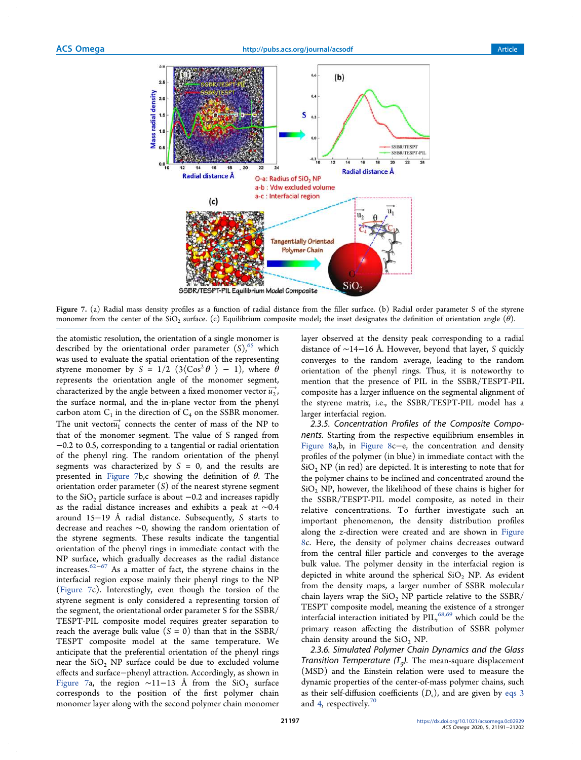

Figure 7. (a) Radial mass density profiles as a function of radial distance from the filler surface. (b) Radial order parameter S of the styrene monomer from the center of the  $\rm SiO_2$  surface. (c) Equilibrium composite model; the inset designates the definition of orientation angle  $(\theta)$ .

the atomistic resolution, the orientation of a single monomer is described by the orientational order parameter  $(S)$ ,<sup>65</sup> which was used to evaluate the spatial orientation of the representing styrene monomer by  $S = 1/2$   $(3\langle \cos^2{\theta} \rangle - 1)$ , where  $\theta$ represents the orientation angle of the monomer segment, characterized by the angle between a fixed monomer vector  $\overrightarrow{u_2}$ , the surface normal, and the in-plane vector from the phenyl carbon atom  $C_1$  in the direction of  $C_4$  on the SSBR monomer. The unit vector $\vec{u_1}$  connects the center of mass of the NP to that of the monomer segment. The value of S ranged from −0.2 to 0.5, corresponding to a tangential or radial orientation of the phenyl ring. The random orientation of the phenyl segments was characterized by *S* = 0, and the results are presented in Figure 7b,c showing the definition of  $\theta$ . The orientation order parameter (*S*) of the nearest styrene segment to the  $SiO<sub>2</sub>$  particle surface is about  $-0.2$  and increases rapidly as the radial distance increases and exhibits a peak at ∼0.4 around 15−19 Å radial distance. Subsequently, *S* starts to decrease and reaches ∼0, showing the random orientation of the styrene segments. These results indicate the tangential orientation of the phenyl rings in immediate contact with the NP surface, which gradually decreases as the radial distance increases.<sup>62−67</sup> As a matter of fact, the styrene chains in the interfacial region expose mainly their phenyl rings to the NP (Figure 7c). Interestingly, even though the torsion of the styrene segment is only considered a representing torsion of the segment, the orientational order parameter S for the SSBR/ TESPT-PIL composite model requires greater separation to reach the average bulk value  $(S = 0)$  than that in the SSBR/ TESPT composite model at the same temperature. We anticipate that the preferential orientation of the phenyl rings near the  $SiO<sub>2</sub>$  NP surface could be due to excluded volume effects and surface−phenyl attraction. Accordingly, as shown in Figure 7a, the region ~11−13 Å from the  $SiO_2$  surface corresponds to the position of the first polymer chain monomer layer along with the second polymer chain monomer

layer observed at the density peak corresponding to a radial distance of ∼14−16 Å. However, beyond that layer, *S* quickly converges to the random average, leading to the random orientation of the phenyl rings. Thus, it is noteworthy to mention that the presence of PIL in the SSBR/TESPT-PIL composite has a larger influence on the segmental alignment of the styrene matrix, i.e., the SSBR/TESPT-PIL model has a larger interfacial region.

2.3.5. Concentration Profiles of the Composite Components. Starting from the respective equilibrium ensembles in Figure 8a,b, in Figure 8c−e, the concentration and density profiles of the polymer (in blue) in immediate contact with the  $SiO<sub>2</sub> NP$  (in red) are depicted. It is interesting to note that for the polymer chains to be inclined and concentrated around the  $SiO<sub>2</sub> NP$ , however, the likelihood of these chains is higher for the SSBR/TESPT-PIL model composite, as noted in their relative concentrations. To further investigate such an important phenomenon, the density distribution profiles along the *z*-direction were created and are shown in Figure 8c. Here, the density of polymer chains decreases outward from the central filler particle and converges to the average bulk value. The polymer density in the interfacial region is depicted in white around the spherical  $SiO<sub>2</sub>$  NP. As evident from the density maps, a larger number of SSBR molecular chain layers wrap the  $SiO<sub>2</sub>$  NP particle relative to the SSBR/ TESPT composite model, meaning the existence of a stronger interfacial interaction initiated by PIL,<sup>68,69</sup> which could be the primary reason affecting the distribution of SSBR polymer chain density around the  $SiO<sub>2</sub> NP$ .

2.3.6. Simulated Polymer Chain Dynamics and the Glass *Transition Temperature (T<sub>g</sub>)*. The mean-square displacement (MSD) and the Einstein relation were used to measure the dynamic properties of the center-of-mass polymer chains, such as their self-diffusion coefficients (D<sub>s</sub>), and are given by eqs 3 and 4, respectively. $70$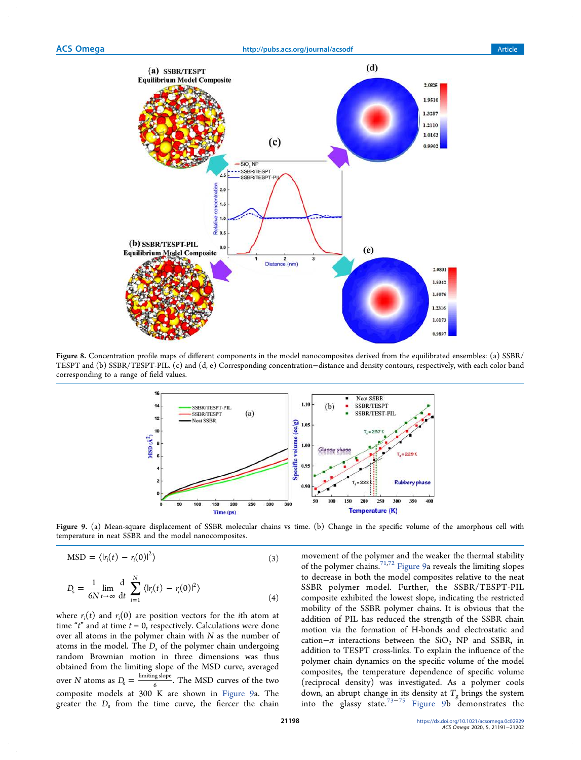

Figure 8. Concentration profile maps of different components in the model nanocomposites derived from the equilibrated ensembles: (a) SSBR/ TESPT and (b) SSBR/TESPT-PIL. (c) and (d, e) Corresponding concentration−distance and density contours, respectively, with each color band corresponding to a range of field values.



Figure 9. (a) Mean-square displacement of SSBR molecular chains vs time. (b) Change in the specific volume of the amorphous cell with temperature in neat SSBR and the model nanocomposites.

$$
MSD = \langle |r_i(t) - r_i(0)|^2 \rangle \tag{3}
$$

$$
D_{s} = \frac{1}{6N} \lim_{t \to \infty} \frac{d}{dt} \sum_{i=1}^{N} \langle |r_{i}(t) - r_{i}(0)|^{2} \rangle
$$
\n(4)

where  $r_i(t)$  and  $r_i(0)$  are position vectors for the *i*th atom at time "*t*" and at time *t* = 0, respectively. Calculations were done over all atoms in the polymer chain with *N* as the number of atoms in the model. The  $D_s$  of the polymer chain undergoing random Brownian motion in three dimensions was thus obtained from the limiting slope of the MSD curve, averaged over *N* atoms as  $D_s = \frac{\text{limiting slope}}{6}$ . The MSD curves of the two 6 composite models at 300 K are shown in Figure 9a. The greater the  $D_s$  from the time curve, the fiercer the chain

movement of the polymer and the weaker the thermal stability of the polymer chains.71,72 Figure 9a reveals the limiting slopes to decrease in both the model composites relative to the neat SSBR polymer model. Further, the SSBR/TESPT-PIL composite exhibited the lowest slope, indicating the restricted mobility of the SSBR polymer chains. It is obvious that the addition of PIL has reduced the strength of the SSBR chain motion via the formation of H-bonds and electrostatic and cation– $\pi$  interactions between the SiO<sub>2</sub> NP and SSBR, in addition to TESPT cross-links. To explain the influence of the polymer chain dynamics on the specific volume of the model composites, the temperature dependence of specific volume (reciprocal density) was investigated. As a polymer cools down, an abrupt change in its density at *T*<sub>g</sub> brings the system<br>into the glassy state.<sup>73−75</sup> Figure 9b demonstrates the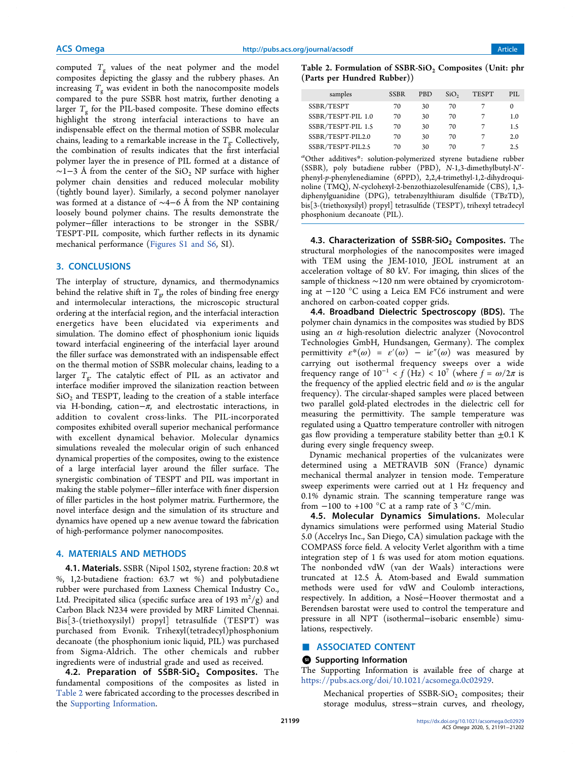computed  $T_g$  values of the neat polymer and the model composites depicting the glassy and the rubbery phases. An increasing  $T_{\rm g}$  was evident in both the nanocomposite models compared to the pure SSBR host matrix, further denoting a larger *T*<sup>g</sup> for the PIL-based composite. These domino effects highlight the strong interfacial interactions to have an indispensable effect on the thermal motion of SSBR molecular chains, leading to a remarkable increase in the  $T_{\mathrm{g}}$ . Collectively, the combination of results indicates that the first interfacial polymer layer the in presence of PIL formed at a distance of  $\sim$ 1−3 Å from the center of the SiO<sub>2</sub> NP surface with higher polymer chain densities and reduced molecular mobility (tightly bound layer). Similarly, a second polymer nanolayer was formed at a distance of ∼4−6 Å from the NP containing loosely bound polymer chains. The results demonstrate the polymer−filler interactions to be stronger in the SSBR/ TESPT-PIL composite, which further reflects in its dynamic mechanical performance (Figures S1 and S6, SI).

### 3. CONCLUSIONS

The interplay of structure, dynamics, and thermodynamics behind the relative shift in  $T_{\mathrm{g}\mathrm{y}}$  the roles of binding free energy and intermolecular interactions, the microscopic structural ordering at the interfacial region, and the interfacial interaction energetics have been elucidated via experiments and simulation. The domino effect of phosphonium ionic liquids toward interfacial engineering of the interfacial layer around the filler surface was demonstrated with an indispensable effect on the thermal motion of SSBR molecular chains, leading to a larger T<sub>g</sub>. The catalytic effect of PIL as an activator and interface modifier improved the silanization reaction between  $\rm SiO_2$  and TESPT, leading to the creation of a stable interface via H-bonding, cation $-\pi$ , and electrostatic interactions, in addition to covalent cross-links. The PIL-incorporated composites exhibited overall superior mechanical performance with excellent dynamical behavior. Molecular dynamics simulations revealed the molecular origin of such enhanced dynamical properties of the composites, owing to the existence of a large interfacial layer around the filler surface. The synergistic combination of TESPT and PIL was important in making the stable polymer−filler interface with finer dispersion of filler particles in the host polymer matrix. Furthermore, the novel interface design and the simulation of its structure and dynamics have opened up a new avenue toward the fabrication of high-performance polymer nanocomposites.

#### 4. MATERIALS AND METHODS

4.1. Materials. SSBR (Nipol 1502, styrene fraction: 20.8 wt %, 1,2-butadiene fraction: 63.7 wt %) and polybutadiene rubber were purchased from Laxness Chemical Industry Co., Ltd. Precipitated silica (specific surface area of 193  $\mathrm{m}^2/\mathrm{g})$  and Carbon Black N234 were provided by MRF Limited Chennai. Bis[3-(triethoxysilyl) propyl] tetrasulfide (TESPT) was purchased from Evonik. Trihexyl(tetradecyl)phosphonium decanoate (the phosphonium ionic liquid, PIL) was purchased from Sigma-Aldrich. The other chemicals and rubber ingredients were of industrial grade and used as received.

4.2. Preparation of SSBR-SiO<sub>2</sub> Composites. The fundamental compositions of the composites as listed in Table 2 were fabricated according to the processes described in the Supporting Information.

Table 2. Formulation of  $SSBR-SiO<sub>2</sub>$  Composites (Unit: phr (Parts per Hundred Rubber))

| samples            | <b>SSBR</b> | <b>PBD</b> | SiO <sub>2</sub> | <b>TESPT</b> | PIL.     |
|--------------------|-------------|------------|------------------|--------------|----------|
| SSBR/TESPT         | 70          | 30         | 70               |              | $^{(1)}$ |
| SSBR/TESPT-PIL 1.0 | 70          | 30         | 70               |              | 1.0      |
| SSBR/TESPT-PIL 1.5 | 70          | 30         | 70               |              | 1.5      |
| SSBR/TESPT-PIL2.0  | 70          | 30         | 70               |              | 2.0      |
| SSBR/TESPT-PIL2.5  | 70          | 30         | 70               |              | 2.5      |

*a*Other additives\*: solution-polymerized styrene butadiene rubber (SSBR), poly butadiene rubber (PBD), *N*-1,3-dimethylbutyl-*N*′ phenyl-*p*-phenylenediamine (6PPD), 2,2,4-trimethyl-1,2-dihydroquinoline (TMQ), *N*-cyclohexyl-2-benzothiazolesulfenamide (CBS), 1,3 diphenylguanidine (DPG), tetrabenzylthiuram disulfide (TBzTD), bis[3-(triethoxysilyl) propyl] tetrasulfide (TESPT), trihexyl tetradecyl phosphonium decanoate (PIL).

4.3. Characterization of  $SSBR-SiO<sub>2</sub>$  Composites. The structural morphologies of the nanocomposites were imaged with TEM using the JEM-1010, JEOL instrument at an acceleration voltage of 80 kV. For imaging, thin slices of the sample of thickness ∼120 nm were obtained by cryomicrotoming at −120 °C using a Leica EM FC6 instrument and were anchored on carbon-coated copper grids.

4.4. Broadband Dielectric Spectroscopy (BDS). The polymer chain dynamics in the composites was studied by BDS using an  $\alpha$  high-resolution dielectric analyzer (Novocontrol Technologies GmbH, Hundsangen, Germany). The complex permittivity  $\varepsilon^{*}(\omega) = \varepsilon'(\omega) - i\varepsilon''(\omega)$  was measured by carrying out isothermal frequency sweeps over a wide frequency range of  $10^{-1} < f(Hz) < 10^{7}$  (where  $f = \omega/2\pi$  is the frequency of the applied electric field and  $\omega$  is the angular frequency). The circular-shaped samples were placed between two parallel gold-plated electrodes in the dielectric cell for measuring the permittivity. The sample temperature was regulated using a Quattro temperature controller with nitrogen gas flow providing a temperature stability better than  $\pm 0.1$  K during every single frequency sweep.

Dynamic mechanical properties of the vulcanizates were determined using a METRAVIB 50N (France) dynamic mechanical thermal analyzer in tension mode. Temperature sweep experiments were carried out at 1 Hz frequency and 0.1% dynamic strain. The scanning temperature range was from  $-100$  to  $+100$  °C at a ramp rate of 3 °C/min.

4.5. Molecular Dynamics Simulations. Molecular dynamics simulations were performed using Material Studio 5.0 (Accelrys Inc., San Diego, CA) simulation package with the COMPASS force field. A velocity Verlet algorithm with a time integration step of 1 fs was used for atom motion equations. The nonbonded vdW (van der Waals) interactions were truncated at 12.5 Å. Atom-based and Ewald summation methods were used for vdW and Coulomb interactions, respectively. In addition, a Nosé-Hoover thermostat and a Berendsen barostat were used to control the temperature and pressure in all NPT (isothermal−isobaric ensemble) simulations, respectively.

#### ■ ASSOCIATED CONTENT

#### **<sup>3</sup>** Supporting Information

The Supporting Information is available free of charge at https://pubs.acs.org/doi/10.1021/acsomega.0c02929.

Mechanical properties of  $SSBR-SiO<sub>2</sub>$  composites; their storage modulus, stress−strain curves, and rheology,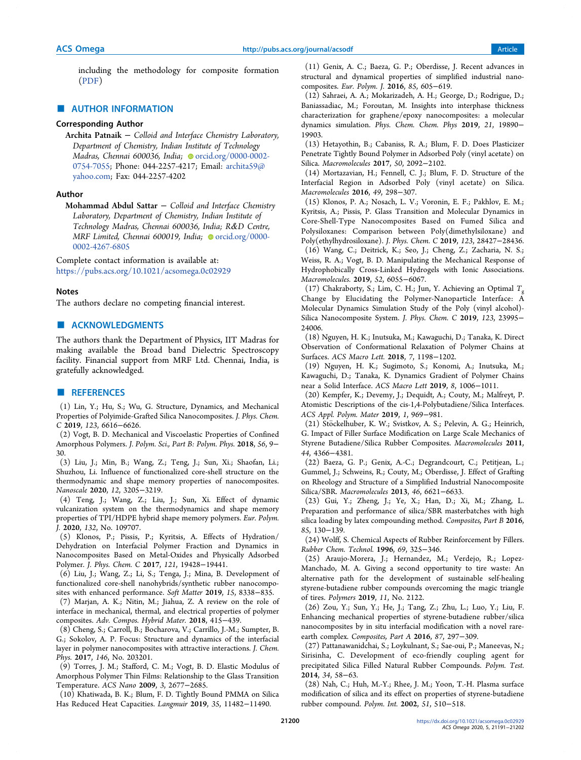including the methodology for composite formation (PDF)

#### ■ AUTHOR INFORMATION

# Corresponding Author

Archita Patnaik − Colloid and Interface Chemistry Laboratory, Department of Chemistry, Indian Institute of Technology Madras, Chennai 600036, India; orcid.org/0000-0002-0754-7055; Phone: 044-2257-4217; Email: archita59@ yahoo.com; Fax: 044-2257-4202

#### Author

Mohammad Abdul Sattar − Colloid and Interface Chemistry Laboratory, Department of Chemistry, Indian Institute of Technology Madras, Chennai 600036, India; R&D Centre, MRF Limited, Chennai 600019, India; orcid.org/0000-0002-4267-6805

Complete contact information is available at: https://pubs.acs.org/10.1021/acsomega.0c02929

#### Notes

The authors declare no competing financial interest.

# ■ ACKNOWLEDGMENTS

The authors thank the Department of Physics, IIT Madras for making available the Broad band Dielectric Spectroscopy facility. Financial support from MRF Ltd. Chennai, India, is gratefully acknowledged.

#### ■ REFERENCES

(1) Lin, Y.; Hu, S.; Wu, G. Structure, Dynamics, and Mechanical Properties of Polyimide-Grafted Silica Nanocomposites. *J. Phys. Chem. C* 2019, *123*, 6616−6626.

(2) Vogt, B. D. Mechanical and Viscoelastic Properties of Confined Amorphous Polymers. *J. Polym. Sci., Part B: Polym. Phys.* 2018, *56*, 9− 30.

(3) Liu, J.; Min, B.; Wang, Z.; Teng, J.; Sun, Xi.; Shaofan, Li.; Shuzhou, Li. Influence of functionalized core-shell structure on the thermodynamic and shape memory properties of nanocomposites. *Nanoscale* 2020, *12*, 3205−3219.

(4) Teng, J.; Wang, Z.; Liu, J.; Sun, Xi. Effect of dynamic vulcanization system on the thermodynamics and shape memory properties of TPI/HDPE hybrid shape memory polymers. *Eur. Polym. J.* 2020, *132*, No. 109707.

(5) Klonos, P.; Pissis, P.; Kyritsis, A. Effects of Hydration/ Dehydration on Interfacial Polymer Fraction and Dynamics in Nanocomposites Based on Metal-Oxides and Physically Adsorbed Polymer. *J. Phys. Chem. C* 2017, *121*, 19428−19441.

(6) Liu, J.; Wang, Z.; Li, S.; Tenga, J.; Mina, B. Development of functionalized core-shell nanohybrids/synthetic rubber nanocomposites with enhanced performance. *Soft Matter* 2019, *15*, 8338−835.

(7) Marjan, A. K.; Nitin, M.; Jiahua, Z. A review on the role of interface in mechanical, thermal, and electrical properties of polymer composites. *Adv. Compos. Hybrid Mater.* 2018, 415−439.

(8) Cheng, S.; Carroll, B.; Bocharova, V.; Carrillo, J.-M.; Sumpter, B. G.; Sokolov, A. P. Focus: Structure and dynamics of the interfacial layer in polymer nanocomposites with attractive interactions. *J. Chem. Phys.* 2017, *146*, No. 203201.

(9) Torres, J. M.; Stafford, C. M.; Vogt, B. D. Elastic Modulus of Amorphous Polymer Thin Films: Relationship to the Glass Transition Temperature. *ACS Nano* 2009, *3*, 2677−2685.

(10) Khatiwada, B. K.; Blum, F. D. Tightly Bound PMMA on Silica Has Reduced Heat Capacities. *Langmuir* 2019, *35*, 11482−11490.

(11) Genix, A. C.; Baeza, G. P.; Oberdisse, J. Recent advances in structural and dynamical properties of simplified industrial nanocomposites. *Eur. Polym. J.* 2016, *85*, 605−619.

(12) Sahraei, A. A.; Mokarizadeh, A. H.; George, D.; Rodrigue, D.; Baniassadiac, M.; Foroutan, M. Insights into interphase thickness characterization for graphene/epoxy nanocomposites: a molecular dynamics simulation. *Phys. Chem. Chem. Phys* 2019, *21*, 19890− 19903.

(13) Hetayothin, B.; Cabaniss, R. A.; Blum, F. D. Does Plasticizer Penetrate Tightly Bound Polymer in Adsorbed Poly (vinyl acetate) on Silica. *Macromolecules* 2017, *50*, 2092−2102.

(14) Mortazavian, H.; Fennell, C. J.; Blum, F. D. Structure of the Interfacial Region in Adsorbed Poly (vinyl acetate) on Silica. *Macromolecules* 2016, *49*, 298−307.

(15) Klonos, P. A.; Nosach, L. V.; Voronin, E. F.; Pakhlov, E. M.; Kyritsis, A.; Pissis, P. Glass Transition and Molecular Dynamics in Core-Shell-Type Nanocomposites Based on Fumed Silica and Polysiloxanes: Comparison between Poly(dimethylsiloxane) and Poly(ethylhydrosiloxane). *J. Phys. Chem. C* 2019, *123*, 28427−28436. (16) Wang, C.; Deitrick, K.; Seo, J.; Cheng, Z.; Zacharia, N. S.; Weiss, R. A.; Vogt, B. D. Manipulating the Mechanical Response of Hydrophobically Cross-Linked Hydrogels with Ionic Associations. *Macromolecules.* 2019, *52*, 6055−6067.

(17) Chakraborty, S.; Lim, C. H.; Jun, Y. Achieving an Optimal *T*<sup>g</sup> Change by Elucidating the Polymer-Nanoparticle Interface: A Molecular Dynamics Simulation Study of the Poly (vinyl alcohol)- Silica Nanocomposite System. *J. Phys. Chem. C* 2019, *123*, 23995− 24006.

(18) Nguyen, H. K.; Inutsuka, M.; Kawaguchi, D.; Tanaka, K. Direct Observation of Conformational Relaxation of Polymer Chains at Surfaces. *ACS Macro Lett.* 2018, *7*, 1198−1202.

(19) Nguyen, H. K.; Sugimoto, S.; Konomi, A.; Inutsuka, M.; Kawaguchi, D.; Tanaka, K. Dynamics Gradient of Polymer Chains near a Solid Interface. *ACS Macro Lett* 2019, *8*, 1006−1011.

(20) Kempfer, K.; Devemy, J.; Dequidt, A.; Couty, M.; Malfreyt, P. Atomistic Descriptions of the cis-1,4-Polybutadiene/Silica Interfaces. *ACS Appl. Polym. Mater* 2019, *1*, 969−981.

(21) Stöckelhuber, K. W.; Svistkov, A. S.; Pelevin, A. G.; Heinrich, G. Impact of Filler Surface Modification on Large Scale Mechanics of Styrene Butadiene/Silica Rubber Composites. *Macromolecules* 2011, *44*, 4366−4381.

(22) Baeza, G. P.; Genix, A.-C.; Degrandcourt, C.; Petitjean, L.; Gummel, J.; Schweins, R.; Couty, M.; Oberdisse, J. Effect of Grafting on Rheology and Structure of a Simplified Industrial Nanocomposite Silica/SBR. *Macromolecules* 2013, *46*, 6621−6633.

(23) Gui, Y.; Zheng, J.; Ye, X.; Han, D.; Xi, M.; Zhang, L. Preparation and performance of silica/SBR masterbatches with high silica loading by latex compounding method. *Composites, Part B* 2016, *85*, 130−139.

(24) Wolff, S. Chemical Aspects of Rubber Reinforcement by Fillers. *Rubber Chem. Technol.* 1996, *69*, 325−346.

(25) Araujo-Morera, J.; Hernandez, M.; Verdejo, R.; Lopez-Manchado, M. A. Giving a second opportunity to tire waste: An alternative path for the development of sustainable self-healing styrene-butadiene rubber compounds overcoming the magic triangle of tires. *Polymers* 2019, *11*, No. 2122.

(26) Zou, Y.; Sun, Y.; He, J.; Tang, Z.; Zhu, L.; Luo, Y.; Liu, F. Enhancing mechanical properties of styrene-butadiene rubber/silica nanocomposites by in situ interfacial modification with a novel rareearth complex. *Composites, Part A* 2016, *87*, 297−309.

(27) Pattanawanidchai, S.; Loykulnant, S.; Sae-oui, P.; Maneevas, N.; Sirisinha, C. Development of eco-friendly coupling agent for precipitated Silica Filled Natural Rubber Compounds. *Polym. Test.* 2014, *34*, 58−63.

(28) Nah, C.; Huh, M.-Y.; Rhee, J. M.; Yoon, T.-H. Plasma surface modification of silica and its effect on properties of styrene-butadiene rubber compound. *Polym. Int.* 2002, *51*, 510−518.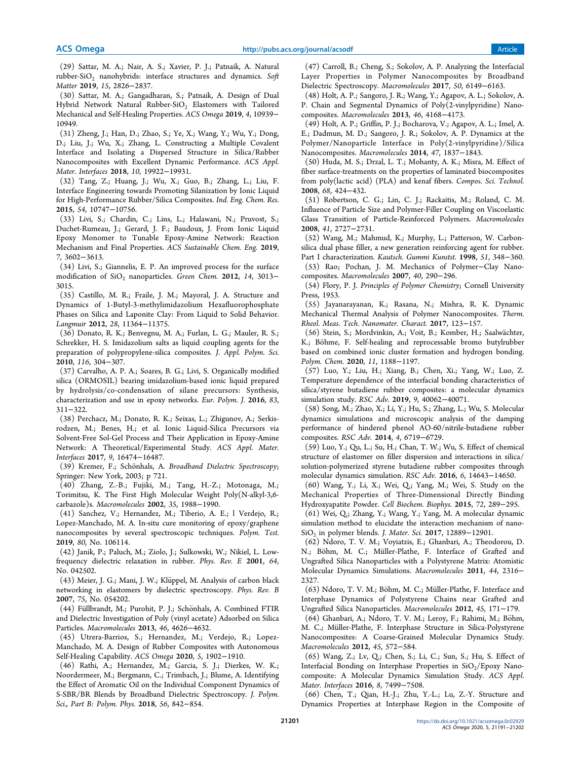(29) Sattar, M. A.; Nair, A. S.; Xavier, P. J.; Patnaik, A. Natural rubber-SiO<sub>2</sub> nanohybrids: interface structures and dynamics. Soft *Matter* 2019, *15*, 2826−2837.

(30) Sattar, M. A.; Gangadharan, S.; Patnaik, A. Design of Dual Hybrid Network Natural Rubber-SiO<sub>2</sub> Elastomers with Tailored Mechanical and Self-Healing Properties. *ACS Omega* 2019, *4*, 10939− 10949.

(31) Zheng, J.; Han, D.; Zhao, S.; Ye, X.; Wang, Y.; Wu, Y.; Dong, D.; Liu, J.; Wu, X.; Zhang, L. Constructing a Multiple Covalent Interface and Isolating a Dispersed Structure in Silica/Rubber Nanocomposites with Excellent Dynamic Performance. *ACS Appl. Mater. Interfaces* 2018, *10*, 19922−19931.

(32) Tang, Z.; Huang, J.; Wu, X.; Guo, B.; Zhang, L.; Liu, F. Interface Engineering towards Promoting Silanization by Ionic Liquid for High-Performance Rubber/Silica Composites. *Ind. Eng. Chem. Res.* 2015, *54*, 10747−10756.

(33) Livi, S.; Chardin, C.; Lins, L.; Halawani, N.; Pruvost, S.; Duchet-Rumeau, J.; Gerard, J. F.; Baudoux, J. From Ionic Liquid Epoxy Monomer to Tunable Epoxy-Amine Network: Reaction Mechanism and Final Properties. *ACS Sustainable Chem. Eng.* 2019, *7*, 3602−3613.

(34) Livi, S.; Giannelis, E. P. An improved process for the surface modification of SiO<sub>2</sub> nanoparticles. *Green Chem.* 2012, 14, 3013− 3015.

(35) Castillo, M. R.; Fraile, J. M.; Mayoral, J. A. Structure and Dynamics of 1-Butyl-3-methylimidazolium Hexafluorophosphate Phases on Silica and Laponite Clay: From Liquid to Solid Behavior. *Langmuir* 2012, *28*, 11364−11375.

(36) Donato, R. K.; Benvegnu, M. A.; Furlan, L. G.; Mauler, R. S.; Schrekker, H. S. Imidazolium salts as liquid coupling agents for the preparation of polypropylene-silica composites. *J. Appl. Polym. Sci.* 2010, *116*, 304−307.

(37) Carvalho, A. P. A.; Soares, B. G.; Livi, S. Organically modified silica (ORMOSIL) bearing imidazolium-based ionic liquid prepared by hydrolysis/co-condensation of silane precursors: Synthesis, characterization and use in epoxy networks. *Eur. Polym. J.* 2016, *83*, 311−322.

(38) Perchacz, M.; Donato, R. K.; Seixas, L.; Zhigunov, A.; Serkisrodzen, M.; Benes, H.; et al. Ionic Liquid-Silica Precursors via Solvent-Free Sol-Gel Process and Their Application in Epoxy-Amine Network: A Theoretical/Experimental Study. *ACS Appl. Mater. Interfaces* 2017, *9*, 16474−16487.

(39) Kremer, F.; Schönhals, A. *Broadband Dielectric Spectroscopy*; Springer: New York, 2003; p 721.

(40) Zhang, Z.-B.; Fujiki, M.; Tang, H.-Z.; Motonaga, M.; Torimitsu, K. The First High Molecular Weight Poly(N-alkyl-3,6 carbazole)s. *Macromolecules* 2002, *35*, 1988−1990.

(41) Sanchez, V.; Hernandez, M.; Tiberio, A. E.; l Verdejo, R.; Lopez-Manchado, M. A. In-situ cure monitoring of epoxy/graphene nanocomposites by several spectroscopic techniques. *Polym. Test.* 2019, *80*, No. 106114.

(42) Janik, P.; Paluch, M.; Ziolo, J.; Sulkowski, W.; Nikiel, L. Lowfrequency dielectric relaxation in rubber. *Phys. Rev. E* 2001, *64*, No. 042502.

(43) Meier, J. G.; Mani, J. W.; Klüppel, M. Analysis of carbon black networking in elastomers by dielectric spectroscopy. *Phys. Rev. B* 2007, *75*, No. 054202.

(44) Füllbrandt, M.; Purohit, P. J.; Schönhals, A. Combined FTIR and Dielectric Investigation of Poly (vinyl acetate) Adsorbed on Silica Particles. *Macromolecules* 2013, *46*, 4626−4632.

(45) Utrera-Barrios, S.; Hernandez, M.; Verdejo, R.; Lopez-Manchado, M. A. Design of Rubber Composites with Autonomous Self-Healing Capability. *ACS Omega* 2020, *5*, 1902−1910.

(46) Rathi, A.; Hernandez, M.; Garcia, S. J.; Dierkes, W. K.; Noordermeer, M.; Bergmann, C.; Trimbach, J.; Blume, A. Identifying the Effect of Aromatic Oil on the Individual Component Dynamics of S-SBR/BR Blends by Broadband Dielectric Spectroscopy. *J. Polym. Sci., Part B: Polym. Phys.* 2018, *56*, 842−854.

(47) Carroll, B.; Cheng, S.; Sokolov, A. P. Analyzing the Interfacial Layer Properties in Polymer Nanocomposites by Broadband Dielectric Spectroscopy. *Macromolecules* 2017, *50*, 6149−6163.

(48) Holt, A. P.; Sangoro, J. R.; Wang, Y.; Agapov, A. L.; Sokolov, A. P. Chain and Segmental Dynamics of Poly(2-vinylpyridine) Nanocomposites. *Macromolecules* 2013, *46*, 4168−4173.

(49) Holt, A. P.; Griffin, P. J.; Bocharova, V.; Agapov, A. L.; Imel, A. E.; Dadmun, M. D.; Sangoro, J. R.; Sokolov, A. P. Dynamics at the Polymer/Nanoparticle Interface in Poly(2-vinylpyridine)/Silica Nanocomposites. *Macromolecules* 2014, *47*, 1837−1843.

(50) Huda, M. S.; Drzal, L. T.; Mohanty, A. K.; Misra, M. Effect of fiber surface-treatments on the properties of laminated biocomposites from poly(lactic acid) (PLA) and kenaf fibers. *Compos. Sci. Technol.* 2008, *68*, 424−432.

(51) Robertson, C. G.; Lin, C. J.; Rackaitis, M.; Roland, C. M. Influence of Particle Size and Polymer-Filler Coupling on Viscoelastic Glass Transition of Particle-Reinforced Polymers. *Macromolecules* 2008, *41*, 2727−2731.

(52) Wang, M.; Mahmud, K.; Murphy, L.; Patterson, W. Carbonsilica dual phase filler, a new generation reinforcing agent for rubber. Part I characterization. *Kautsch. Gummi Kunstst.* 1998, *51*, 348−360.

(53) Rao; Pochan, J. M. Mechanics of Polymer−Clay Nanocomposites. *Macromolecules* 2007, *40*, 290−296.

(54) Flory, P. J. *Principles of Polymer Chemistry*; Cornell University Press, 1953.

(55) Jayanarayanan, K.; Rasana, N.; Mishra, R. K. Dynamic Mechanical Thermal Analysis of Polymer Nanocomposites. *Therm. Rheol. Meas. Tech. Nanomater. Charact.* 2017, 123−157.

(56) Stein, S.; Mordvinkin, A.; Voit, B.; Komber, H.; Saalwachter, ̈ K.; Böhme, F. Self-healing and reprocessable bromo butylrubber based on combined ionic cluster formation and hydrogen bonding. *Polym. Chem.* 2020, *11*, 1188−1197.

(57) Luo, Y.; Liu, H.; Xiang, B.; Chen, Xi.; Yang, W.; Luo, Z. Temperature dependence of the interfacial bonding characteristics of silica/styrene butadiene rubber composites: a molecular dynamics simulation study. *RSC Adv.* 2019, *9*, 40062−40071.

(58) Song, M.; Zhao, X.; Li, Y.; Hu, S.; Zhang, L.; Wu, S. Molecular dynamics simulations and microscopic analysis of the damping performance of hindered phenol AO-60/nitrile-butadiene rubber composites. *RSC Adv.* 2014, *4*, 6719−6729.

(59) Luo, Y.; Qu, L.; Su, H.; Chan, T. W.; Wu, S. Effect of chemical structure of elastomer on filler dispersion and interactions in silica/ solution-polymerized styrene butadiene rubber composites through molecular dynamics simulation. *RSC Adv.* 2016, *6*, 14643−14650.

(60) Wang, Y.; Li, X.; Wei, Q.; Yang, M.; Wei, S. Study on the Mechanical Properties of Three-Dimensional Directly Binding Hydroxyapatite Powder. *Cell Biochem. Biophys.* 2015, *72*, 289−295.

(61) Wei, Q.; Zhang, Y.; Wang, Y.; Yang, M. A molecular dynamic simulation method to elucidate the interaction mechanism of nano-SiO<sup>2</sup> in polymer blends. *J. Mater. Sci.* 2017, 12889−12901.

(62) Ndoro, T. V. M.; Voyiatzis, E.; Ghanbari, A.; Theodorou, D. N.; Böhm, M. C.; Müller-Plathe, F. Interface of Grafted and Ungrafted Silica Nanoparticles with a Polystyrene Matrix: Atomistic Molecular Dynamics Simulations. *Macromolecules* 2011, *44*, 2316− 2327.

(63) Ndoro, T. V. M.; Böhm, M. C.; Müller-Plathe, F. Interface and Interphase Dynamics of Polystyrene Chains near Grafted and Ungrafted Silica Nanoparticles. *Macromolecules* 2012, *45*, 171−179.

(64) Ghanbari, A.; Ndoro, T. V. M.; Leroy, F.; Rahimi, M.; Böhm, M. C.; Müller-Plathe, F. Interphase Structure in Silica-Polystyrene Nanocomposites: A Coarse-Grained Molecular Dynamics Study. *Macromolecules* 2012, *45*, 572−584.

(65) Wang, Z.; Lv, Q.; Chen, S.; Li, C.; Sun, S.; Hu, S. Effect of Interfacial Bonding on Interphase Properties in  $SiO<sub>2</sub>/Epoxy$  Nanocomposite: A Molecular Dynamics Simulation Study. *ACS Appl. Mater. Interfaces* 2016, *8*, 7499−7508.

(66) Chen, T.; Qian, H.-J.; Zhu, Y.-L.; Lu, Z.-Y. Structure and Dynamics Properties at Interphase Region in the Composite of